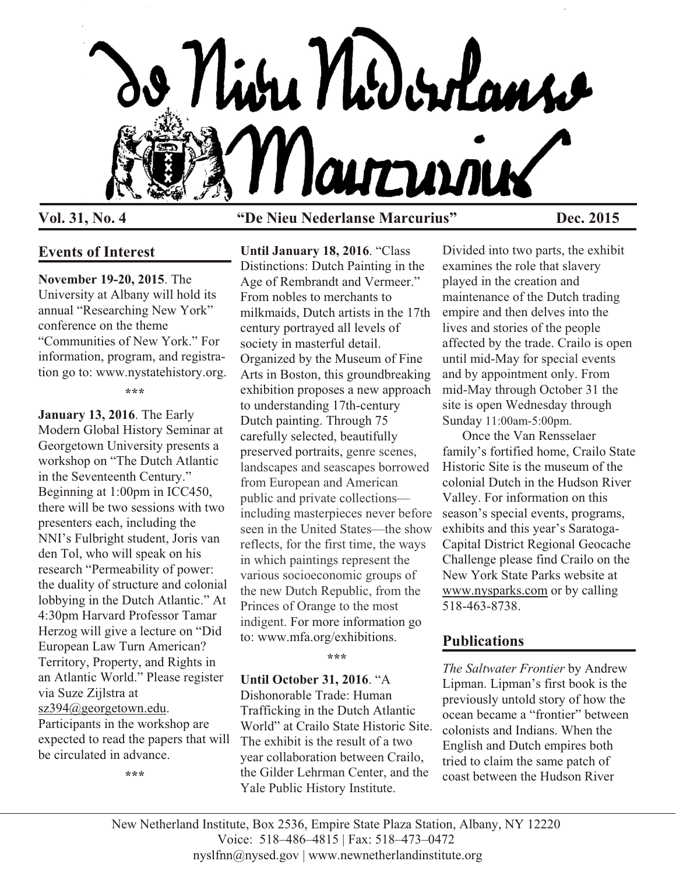

### **Vol. 31, No. 4 "De Nieu Nederlanse Marcurius" Dec. 2015**

#### **Events of Interest**

**November 19-20, 2015**. The University at Albany will hold its annual "Researching New York" conference on the theme "Communities of New York." For information, program, and registration go to: www.nystatehistory.org.

**\*\*\***

**January 13, 2016**. The Early Modern Global History Seminar at Georgetown University presents a workshop on "The Dutch Atlantic in the Seventeenth Century." Beginning at 1:00pm in ICC450, there will be two sessions with two presenters each, including the NNI's Fulbright student, Joris van den Tol, who will speak on his research "Permeability of power: the duality of structure and colonial lobbying in the Dutch Atlantic." At 4:30pm Harvard Professor Tamar Herzog will give a lecture on "Did European Law Turn American? Territory, Property, and Rights in an Atlantic World." Please register via Suze Zijlstra at [sz394@georgetown.edu](mailto:sz394@georgetown.edu).

Participants in the workshop are expected to read the papers that will be circulated in advance.

**\*\*\***

**Until January 18, 2016**. "Class Distinctions: Dutch Painting in the Age of Rembrandt and Vermeer." From nobles to merchants to milkmaids, Dutch artists in the 17th century portrayed all levels of society in masterful detail. Organized by the Museum of Fine Arts in Boston, this groundbreaking exhibition proposes a new approach to understanding 17th-century Dutch painting. Through 75 carefully selected, beautifully preserved portraits, genre scenes, landscapes and seascapes borrowed from European and American public and private collections including masterpieces never before seen in the United States—the show reflects, for the first time, the ways in which paintings represent the various socioeconomic groups of the new Dutch Republic, from the Princes of Orange to the most indigent. For more information go to: www.mfa.org/exhibitions.

**\*\*\***

#### **Until October 31, 2016**. "A

Dishonorable Trade: Human Trafficking in the Dutch Atlantic World" at Crailo State Historic Site. The exhibit is the result of a two year collaboration between Crailo, the Gilder Lehrman Center, and the Yale Public History Institute.

Divided into two parts, the exhibit examines the role that slavery played in the creation and maintenance of the Dutch trading empire and then delves into the lives and stories of the people affected by the trade. Crailo is open until mid-May for special events and by appointment only. From mid-May through October 31 the site is open Wednesday through Sunday 11:00am-5:00pm.

Once the Van Rensselaer family's fortified home, Crailo State Historic Site is the museum of the colonial Dutch in the Hudson River Valley. For information on this season's special events, programs, exhibits and this year's Saratoga-Capital District Regional Geocache Challenge please find Crailo on the New York State Parks website at [www.nysparks.com](http://www.nysparks.com) or by calling 518-463-8738.

# **Publications**

*The Saltwater Frontier* by Andrew Lipman. Lipman's first book is the previously untold story of how the ocean became a "frontier" between colonists and Indians. When the English and Dutch empires both tried to claim the same patch of coast between the Hudson River

New Netherland Institute, Box 2536, Empire State Plaza Station, Albany, NY 12220 Voice: 518–486–4815 | Fax: 518–473–0472 nyslfnn@nysed.gov | www.newnetherlandinstitute.org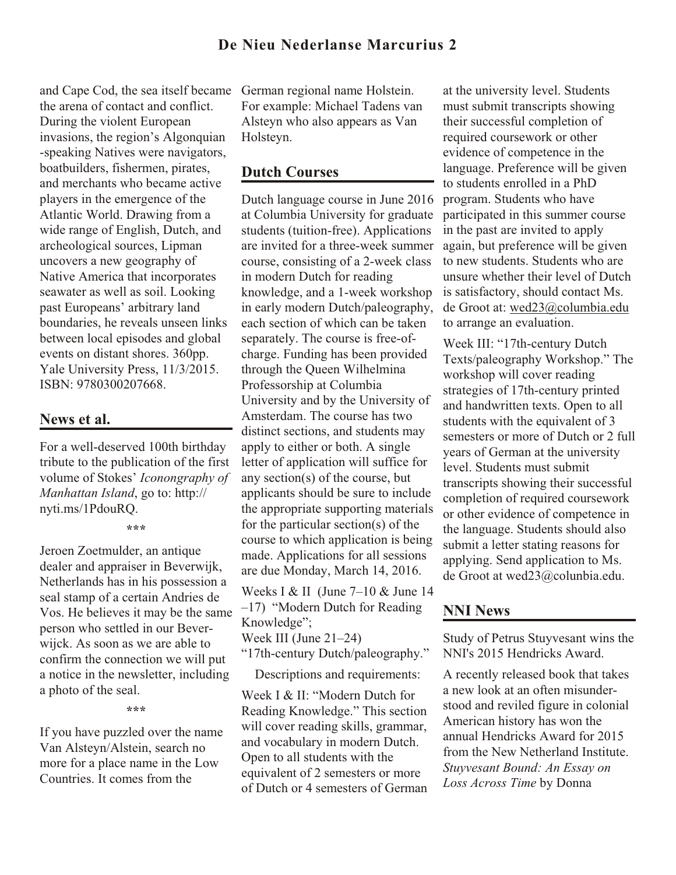and Cape Cod, the sea itself became the arena of contact and conflict. During the violent European invasions, the region's Algonquian -speaking Natives were navigators, boatbuilders, fishermen, pirates, and merchants who became active players in the emergence of the Atlantic World. Drawing from a wide range of English, Dutch, and archeological sources, Lipman uncovers a new geography of Native America that incorporates seawater as well as soil. Looking past Europeans' arbitrary land boundaries, he reveals unseen links between local episodes and global events on distant shores. 360pp. Yale University Press, 11/3/2015. ISBN: 9780300207668.

### **News et al.**

For a well-deserved 100th birthday tribute to the publication of the first volume of Stokes' *Iconongraphy of Manhattan Island*, go to: http:// nyti.ms/1PdouRQ.

**\*\*\***

Jeroen Zoetmulder, an antique dealer and appraiser in Beverwijk, Netherlands has in his possession a seal stamp of a certain Andries de Vos. He believes it may be the same person who settled in our Beverwijck. As soon as we are able to confirm the connection we will put a notice in the newsletter, including a photo of the seal.

**\*\*\***

If you have puzzled over the name Van Alsteyn/Alstein, search no more for a place name in the Low Countries. It comes from the

German regional name Holstein. For example: Michael Tadens van Alsteyn who also appears as Van Holsteyn.

# **Dutch Courses**

Dutch language course in June 2016 at Columbia University for graduate students (tuition-free). Applications are invited for a three-week summer course, consisting of a 2-week class in modern Dutch for reading knowledge, and a 1-week workshop in early modern Dutch/paleography, each section of which can be taken separately. The course is free-ofcharge. Funding has been provided through the Queen Wilhelmina Professorship at Columbia University and by the University of Amsterdam. The course has two distinct sections, and students may apply to either or both. A single letter of application will suffice for any section(s) of the course, but applicants should be sure to include the appropriate supporting materials for the particular section(s) of the course to which application is being made. Applications for all sessions are due Monday, March 14, 2016.

Weeks I & II (June 7–10 & June 14 –17) "Modern Dutch for Reading Knowledge";

Week III (June 21–24)

"17th-century Dutch/paleography."

Descriptions and requirements:

Week I & II: "Modern Dutch for Reading Knowledge." This section will cover reading skills, grammar, and vocabulary in modern Dutch. Open to all students with the equivalent of 2 semesters or more of Dutch or 4 semesters of German

at the university level. Students must submit transcripts showing their successful completion of required coursework or other evidence of competence in the language. Preference will be given to students enrolled in a PhD program. Students who have participated in this summer course in the past are invited to apply again, but preference will be given to new students. Students who are unsure whether their level of Dutch is satisfactory, should contact Ms. de Groot at: [wed23@columbia.edu](mailto:wed23@columbia.edu) to arrange an evaluation.

Week III: "17th-century Dutch Texts/paleography Workshop." The workshop will cover reading strategies of 17th-century printed and handwritten texts. Open to all students with the equivalent of 3 semesters or more of Dutch or 2 full years of German at the university level. Students must submit transcripts showing their successful completion of required coursework or other evidence of competence in the language. Students should also submit a letter stating reasons for applying. Send application to Ms. de Groot at wed23@colunbia.edu.

# **NNI News**

Study of Petrus Stuyvesant wins the NNI's 2015 Hendricks Award.

A recently released book that takes a new look at an often misunderstood and reviled figure in colonial American history has won the annual Hendricks Award for 2015 from the New Netherland Institute. *Stuyvesant Bound: An Essay on Loss Across Time* by Donna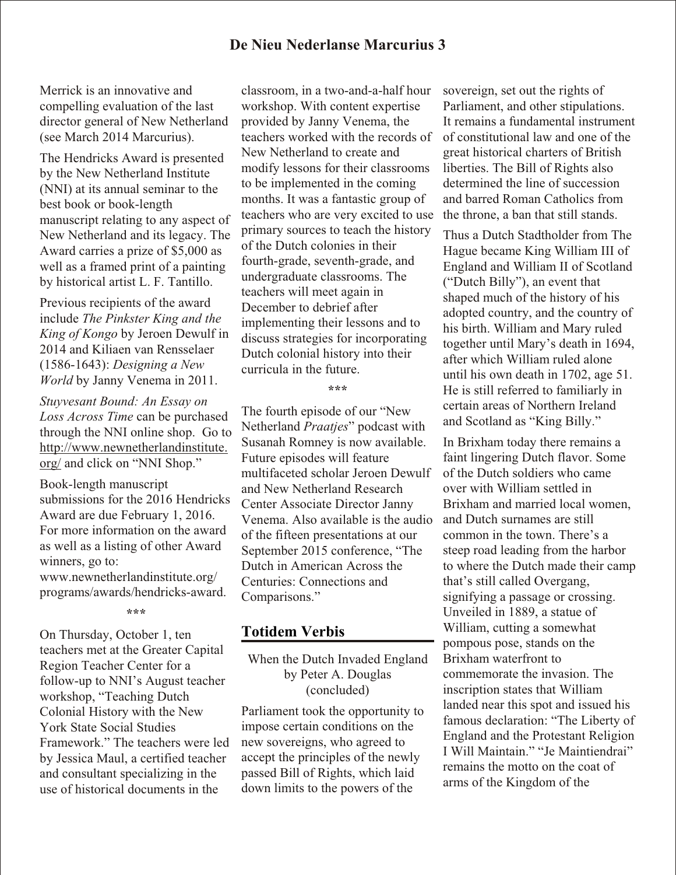### **De Nieu Nederlanse Marcurius 3**

Merrick is an innovative and compelling evaluation of the last director general of New Netherland (see March 2014 Marcurius).

The Hendricks Award is presented by the New Netherland Institute (NNI) at its annual seminar to the best book or book-length manuscript relating to any aspect of New Netherland and its legacy. The Award carries a prize of \$5,000 as well as a framed print of a painting by historical artist L. F. Tantillo.

Previous recipients of the award include *The Pinkster King and the King of Kongo* by Jeroen Dewulf in 2014 and Kiliaen van Rensselaer (1586-1643): *Designing a New World* by Janny Venema in 2011.

*Stuyvesant Bound: An Essay on Loss Across Time* can be purchased through the NNI online shop. Go to [http://www.newnetherlandinstitute.](http://www.newnetherlandinstitute.org/) [org/](http://www.newnetherlandinstitute.org/) and click on "NNI Shop."

Book-length manuscript submissions for the 2016 Hendricks Award are due February 1, 2016. For more information on the award as well as a listing of other Award winners, go to: www.newnetherlandinstitute.org/ programs/awards/hendricks-award.

**\*\*\***

On Thursday, October 1, ten teachers met at the Greater Capital Region Teacher Center for a follow-up to NNI's August teacher workshop, "Teaching Dutch Colonial History with the New York State Social Studies Framework." The teachers were led by Jessica Maul, a certified teacher and consultant specializing in the use of historical documents in the

classroom, in a two-and-a-half hour workshop. With content expertise provided by Janny Venema, the teachers worked with the records of New Netherland to create and modify lessons for their classrooms to be implemented in the coming months. It was a fantastic group of teachers who are very excited to use primary sources to teach the history of the Dutch colonies in their fourth-grade, seventh-grade, and undergraduate classrooms. The teachers will meet again in December to debrief after implementing their lessons and to discuss strategies for incorporating Dutch colonial history into their curricula in the future.

**\*\*\***

The fourth episode of our "New Netherland *Praatjes*" podcast with Susanah Romney is now available. Future episodes will feature multifaceted scholar Jeroen Dewulf and New Netherland Research Center Associate Director Janny Venema. Also available is the audio of the fifteen presentations at our September 2015 conference, "The Dutch in American Across the Centuries: Connections and Comparisons."

#### **Totidem Verbis**

When the Dutch Invaded England by Peter A. Douglas (concluded)

Parliament took the opportunity to impose certain conditions on the new sovereigns, who agreed to accept the principles of the newly passed Bill of Rights, which laid down limits to the powers of the

sovereign, set out the rights of Parliament, and other stipulations. It remains a fundamental instrument of constitutional law and one of the great historical charters of British liberties. The Bill of Rights also determined the line of succession and barred Roman Catholics from the throne, a ban that still stands.

Thus a Dutch Stadtholder from The Hague became King William III of England and William II of Scotland ("Dutch Billy"), an event that shaped much of the history of his adopted country, and the country of his birth. William and Mary ruled together until Mary's death in 1694, after which William ruled alone until his own death in 1702, age 51. He is still referred to familiarly in certain areas of Northern Ireland and Scotland as "King Billy."

In Brixham today there remains a faint lingering Dutch flavor. Some of the Dutch soldiers who came over with William settled in Brixham and married local women, and Dutch surnames are still common in the town. There's a steep road leading from the harbor to where the Dutch made their camp that's still called Overgang, signifying a passage or crossing. Unveiled in 1889, a statue of William, cutting a somewhat pompous pose, stands on the Brixham waterfront to commemorate the invasion. The inscription states that William landed near this spot and issued his famous declaration: "The Liberty of England and the Protestant Religion I Will Maintain." "Je Maintiendrai" remains the motto on the coat of arms of the Kingdom of the